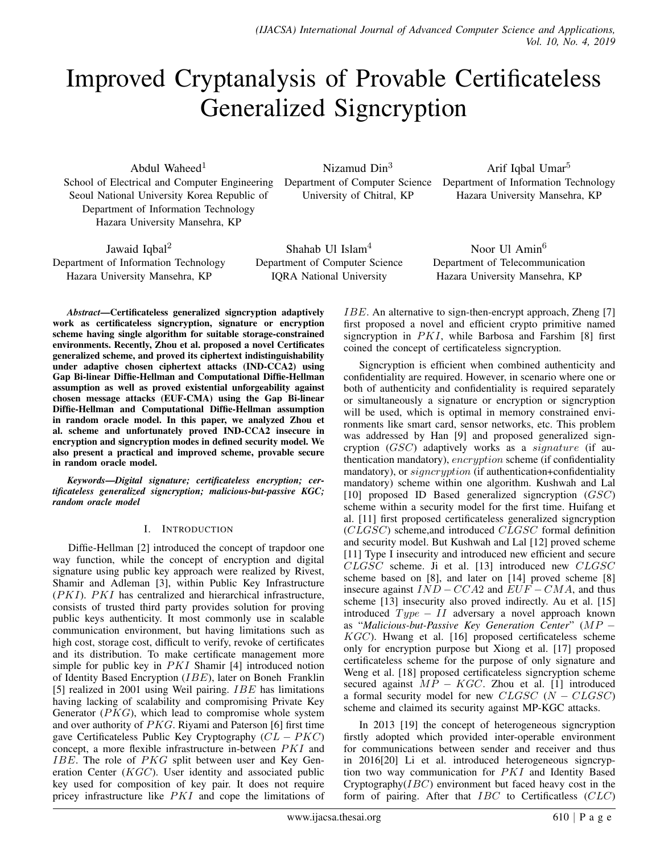# Improved Cryptanalysis of Provable Certificateless Generalized Signcryption

Abdul Waheed $1$ School of Electrical and Computer Engineering Seoul National University Korea Republic of Department of Information Technology Hazara University Mansehra, KP

Nizamud Din<sup>3</sup> Department of Computer Science University of Chitral, KP

Arif Iqbal Umar<sup>5</sup> Department of Information Technology Hazara University Mansehra, KP

Jawaid Iqbal<sup>2</sup> Department of Information Technology Hazara University Mansehra, KP

Shahab Ul Islam<sup>4</sup> Department of Computer Science IQRA National University

Noor Ul Amin<sup>6</sup> Department of Telecommunication Hazara University Mansehra, KP

*Abstract*—Certificateless generalized signcryption adaptively work as certificateless signcryption, signature or encryption scheme having single algorithm for suitable storage-constrained environments. Recently, Zhou et al. proposed a novel Certificates generalized scheme, and proved its ciphertext indistinguishability under adaptive chosen ciphertext attacks (IND-CCA2) using Gap Bi-linear Diffie-Hellman and Computational Diffie-Hellman assumption as well as proved existential unforgeability against chosen message attacks (EUF-CMA) using the Gap Bi-linear Diffie-Hellman and Computational Diffie-Hellman assumption in random oracle model. In this paper, we analyzed Zhou et al. scheme and unfortunately proved IND-CCA2 insecure in encryption and signcryption modes in defined security model. We also present a practical and improved scheme, provable secure in random oracle model.

*Keywords*—*Digital signature; certificateless encryption; certificateless generalized signcryption; malicious-but-passive KGC; random oracle model*

## I. INTRODUCTION

Diffie-Hellman [2] introduced the concept of trapdoor one way function, while the concept of encryption and digital signature using public key approach were realized by Rivest, Shamir and Adleman [3], within Public Key Infrastructure (PKI). PKI has centralized and hierarchical infrastructure, consists of trusted third party provides solution for proving public keys authenticity. It most commonly use in scalable communication environment, but having limitations such as high cost, storage cost, difficult to verify, revoke of certificates and its distribution. To make certificate management more simple for public key in *PKI* Shamir [4] introduced notion of Identity Based Encryption (IBE), later on Boneh Franklin [5] realized in 2001 using Weil pairing. IBE has limitations having lacking of scalability and compromising Private Key Generator  $(PKG)$ , which lead to compromise whole system and over authority of  $PKG$ . Riyami and Paterson [6] first time gave Certificateless Public Key Cryptography  $(CL - PKC)$ concept, a more flexible infrastructure in-between PKI and IBE. The role of PKG split between user and Key Generation Center  $(KGC)$ . User identity and associated public key used for composition of key pair. It does not require pricey infrastructure like *PKI* and cope the limitations of

IBE. An alternative to sign-then-encrypt approach, Zheng [7] first proposed a novel and efficient crypto primitive named signcryption in  $PKI$ , while Barbosa and Farshim [8] first coined the concept of certificateless signcryption.

Signcryption is efficient when combined authenticity and confidentiality are required. However, in scenario where one or both of authenticity and confidentiality is required separately or simultaneously a signature or encryption or signcryption will be used, which is optimal in memory constrained environments like smart card, sensor networks, etc. This problem was addressed by Han [9] and proposed generalized signcryption (GSC) adaptively works as a signature (if authentication mandatory), encryption scheme (if confidentiality mandatory), or  $signcryption$  (if authentication+confidentiality mandatory) scheme within one algorithm. Kushwah and Lal [10] proposed ID Based generalized signcryption  $(GSC)$ scheme within a security model for the first time. Huifang et al. [11] first proposed certificateless generalized signcryption (CLGSC) scheme,and introduced CLGSC formal definition and security model. But Kushwah and Lal [12] proved scheme [11] Type I insecurity and introduced new efficient and secure CLGSC scheme. Ji et al. [13] introduced new CLGSC scheme based on [8], and later on [14] proved scheme [8] insecure against  $IND - CCA2$  and  $EUF - CMA$ , and thus scheme [13] insecurity also proved indirectly. Au et al. [15] introduced  $Type - II$  adversary a novel approach known as "*Malicious-but-Passive Key Generation Center*" (MP − KGC). Hwang et al. [16] proposed certificateless scheme only for encryption purpose but Xiong et al. [17] proposed certificateless scheme for the purpose of only signature and Weng et al. [18] proposed certificateless signcryption scheme secured against  $MP - KGC$ . Zhou et al. [1] introduced a formal security model for new  $CLGSC$  ( $N - CLGSC$ ) scheme and claimed its security against MP-KGC attacks.

In 2013 [19] the concept of heterogeneous signcryption firstly adopted which provided inter-operable environment for communications between sender and receiver and thus in 2016[20] Li et al. introduced heterogeneous signcryption two way communication for PKI and Identity Based Cryptography $(IRC)$  environment but faced heavy cost in the form of pairing. After that  $\text{IBC}$  to Certificatless (CLC)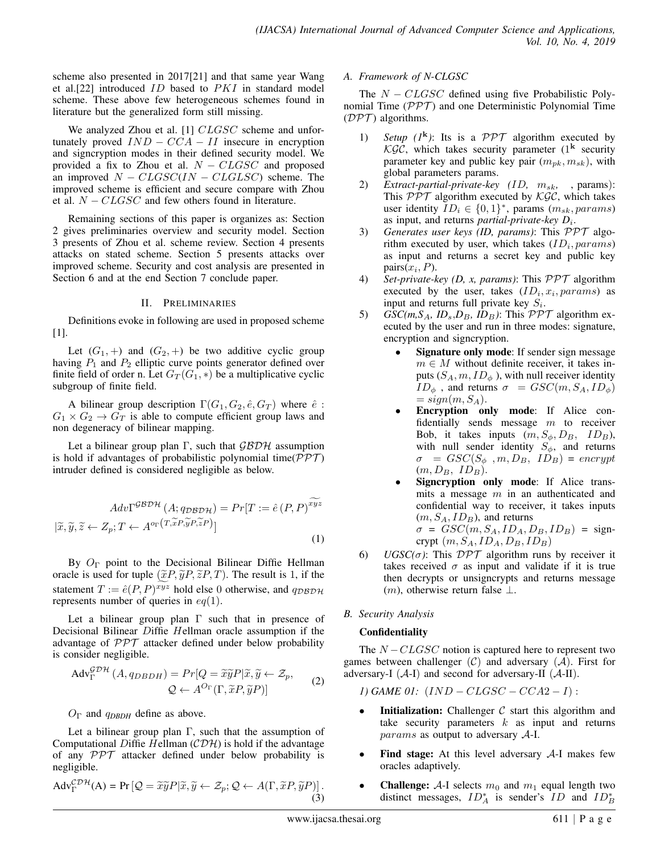scheme also presented in 2017[21] and that same year Wang et al.[22] introduced  $ID$  based to  $PKI$  in standard model scheme. These above few heterogeneous schemes found in literature but the generalized form still missing.

We analyzed Zhou et al. [1] CLGSC scheme and unfortunately proved  $IND - CCA - II$  insecure in encryption and signcryption modes in their defined security model. We provided a fix to Zhou et al.  $N - CLGSC$  and proposed an improved  $N - CLGSC(1N - CLGLSC)$  scheme. The improved scheme is efficient and secure compare with Zhou et al.  $N - CLGSC$  and few others found in literature.

Remaining sections of this paper is organizes as: Section 2 gives preliminaries overview and security model. Section 3 presents of Zhou et al. scheme review. Section 4 presents attacks on stated scheme. Section 5 presents attacks over improved scheme. Security and cost analysis are presented in Section 6 and at the end Section 7 conclude paper.

## II. PRELIMINARIES

Definitions evoke in following are used in proposed scheme [1].

Let  $(G_1,+)$  and  $(G_2,+)$  be two additive cyclic group having  $P_1$  and  $P_2$  elliptic curve points generator defined over finite field of order n. Let  $G_T(G_1,*)$  be a multiplicative cyclic subgroup of finite field.

A bilinear group description  $\Gamma(G_1, G_2, \hat{e}, G_T)$  where  $\hat{e}$ :  $G_1 \times G_2 \rightarrow G_T$  is able to compute efficient group laws and non degeneracy of bilinear mapping.

Let a bilinear group plan Γ, such that  $\mathcal{GBDH}$  assumption is hold if advantages of probabilistic polynomial time( $\mathcal{PPT}$ ) intruder defined is considered negligible as below.

$$
Adv\Gamma^{\mathcal{GBDH}}(A; q_{\mathcal{DBDH}}) = Pr[T := \hat{e}(P, P)^{xyz}
$$

$$
[\tilde{x}, \tilde{y}, \tilde{z} \leftarrow Z_p; T \leftarrow A^{o_{\Gamma}(T, \tilde{x}P, \tilde{y}P, \tilde{z}P)}]
$$
(1)

By  $O_\Gamma$  point to the Decisional Bilinear Diffie Hellman oracle is used for tuple  $(\tilde{\mathfrak{X}}P, \tilde{\mathfrak{Y}}P, \tilde{\mathfrak{Z}}P, T)$ . The result is 1, if the statement  $T := \hat{e}(P, P)^{xyz}$  hold else 0 otherwise, and  $q_{DBDH}$ represents number of queries in  $eq(1)$ .

Let a bilinear group plan  $\Gamma$  such that in presence of Decisional Bilinear Diffie Hellman oracle assumption if the advantage of  $PPT$  attacker defined under below probability is consider negligible.

$$
\operatorname{Adv}_{\Gamma}^{\mathcal{G}D\mathcal{H}}(A, q_{DBDH}) = Pr[Q = \widetilde{x}\widetilde{y}P|\widetilde{x}, \widetilde{y} \leftarrow \mathcal{Z}_p, Q \leftarrow A^{O_{\Gamma}}(\Gamma, \widetilde{x}P, \widetilde{y}P)]
$$
(2)

 $O_\Gamma$  and  $q_{DBDH}$  define as above.

Let a bilinear group plan  $\Gamma$ , such that the assumption of Computational Diffie Hellman  $(\mathcal{CDH})$  is hold if the advantage of any PPT attacker defined under below probability is negligible.

$$
Adv_{\Gamma}^{\mathcal{CDH}}(A) = Pr\left[\mathcal{Q} = \widetilde{x}\widetilde{y}P|\widetilde{x}, \widetilde{y} \leftarrow \mathcal{Z}_p; \mathcal{Q} \leftarrow A(\Gamma, \widetilde{x}P, \widetilde{y}P)\right].
$$
\n(3)

#### *A. Framework of N-CLGSC*

The  $N - CLGSC$  defined using five Probabilistic Polynomial Time  $(PPT)$  and one Deterministic Polynomial Time  $(DPT)$  algorithms.

- 1) *Setup*  $(I^k)$ : Its is a PPT algorithm executed by KGC, which takes security parameter  $(1^k$  security parameter key and public key pair  $(m_{nk}, m_{sk})$ , with global parameters params.
- 2) *Extract-partial-private-key (ID,*  $m_{sk}$ *, , params):* This  $PPT$  algorithm executed by  $\mathcal{KG}C$ , which takes user identity  $ID_i \in \{0, 1\}^*$ , params  $(m_{sk},params)$ as input, and returns *partial-private-key*  $D_i$ .
- 3) *Generates user keys (ID, params)*: This PPT algorithm executed by user, which takes  $(ID_i, params)$ as input and returns a secret key and public key  $pairs(x_i, P).$
- 4) *Set-private-key (D, x, params)*: This PPT algorithm executed by the user, takes  $(ID_i, x_i, params)$  as input and returns full private key  $S_i$ .
- 5) *GSC(m,S<sub>A</sub>, ID<sub>s</sub>,D<sub>B</sub>, ID<sub>B</sub>): This PPT algorithm ex*ecuted by the user and run in three modes: signature, encryption and signcryption.
	- Signature only mode: If sender sign message  $m \in M$  without definite receiver, it takes inputs  $(S_A, m, ID_{\phi})$ , with null receiver identity  $ID_{\phi}$ , and returns  $\sigma = GSC(m, S_A, ID_{\phi})$  $= sign(m, S_A).$
	- Encryption only mode: If Alice confidentially sends message m to receiver Bob, it takes inputs  $(m, S_{\phi}, D_B, ID_B)$ , with null sender identity  $S_{\phi}$ , and returns  $\sigma = GSC(S_{\phi}, m, D_B, ID_B) = encrypt$  $(m, D_B, ID_B)$ .
	- Signcryption only mode: If Alice transmits a message  $m$  in an authenticated and confidential way to receiver, it takes inputs  $(m, S_A, ID_B)$ , and returns  $\sigma = GSC(m, S_A, ID_A, D_B, ID_B) = sign$ crypt  $(m, S_A, ID_A, D_B, ID_B)$
- 6) *UGSC(* $\sigma$ *)*: This  $\mathcal{DPT}$  algorithm runs by receiver it takes received  $\sigma$  as input and validate if it is true then decrypts or unsigncrypts and returns message  $(m)$ , otherwise return false  $\perp$ .
- *B. Security Analysis*

## **Confidentiality**

The  $N - CLGSC$  notion is captured here to represent two games between challenger  $(C)$  and adversary  $(A)$ . First for adversary-I  $(A-I)$  and second for adversary-II  $(A-II)$ .

*1)* GAME 01:  $(IND - CLGSC - CCA2 - I):$ 

- **Initialization:** Challenger  $C$  start this algorithm and take security parameters  $k$  as input and returns params as output to adversary A-I.
- Find stage: At this level adversary  $A-I$  makes few oracles adaptively.
- **Challenge:** A-I selects  $m_0$  and  $m_1$  equal length two distinct messages,  $ID_A^*$  is sender's  $ID$  and  $ID_B^*$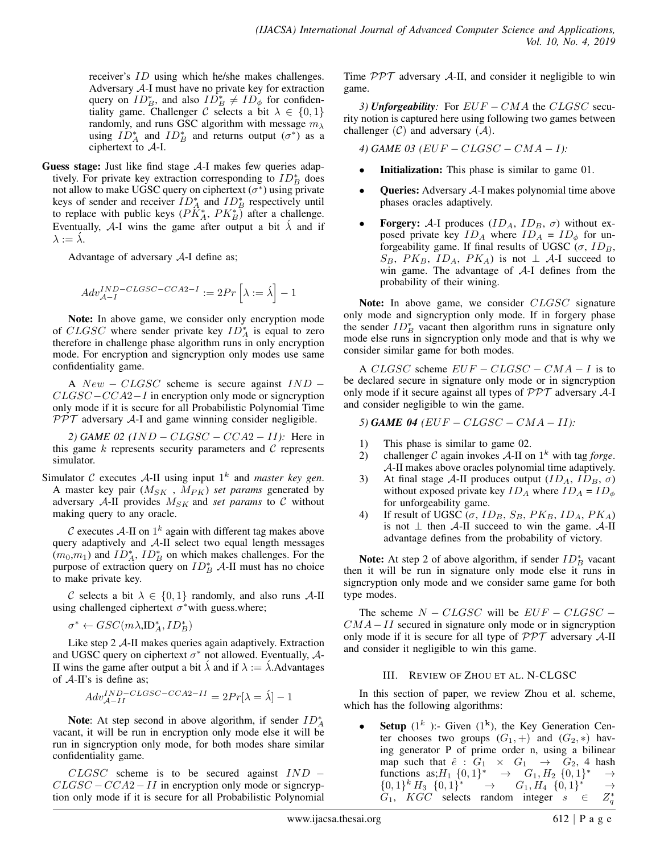receiver's ID using which he/she makes challenges. Adversary  $A$ -I must have no private key for extraction query on  $ID_B^*$ , and also  $ID_B^* \neq ID_{\phi}$  for confidentiality game. Challenger C selects a bit  $\lambda \in \{0, 1\}$ randomly, and runs GSC algorithm with message  $m<sub>\lambda</sub>$ using  $ID_A^*$  and  $ID_B^*$  and returns output  $(\sigma^*)$  as a ciphertext to A-I.

**Guess stage:** Just like find stage  $A-I$  makes few queries adaptively. For private key extraction corresponding to  $ID_B^*$  does not allow to make UGSC query on ciphertext  $(\sigma^*)$  using private keys of sender and receiver  $ID_A^*$  and  $ID_B^*$  respectively until to replace with public keys  $(P\ddot{K}_A^*, P K_B^*)$  after a challenge. Eventually, A-I wins the game after output a bit  $\lambda$  and if  $\lambda := \lambda$ .

Advantage of adversary  $A-I$  define as;

$$
Adv_{\mathcal{A}-I}^{IND-CLGSC-CCA2-I} := 2Pr\left[\lambda := \acute{\lambda}\right] - 1
$$

Note: In above game, we consider only encryption mode of CLGSC where sender private key  $ID_A^*$  is equal to zero therefore in challenge phase algorithm runs in only encryption mode. For encryption and signcryption only modes use same confidentiality game.

A  $New - CLGSC$  scheme is secure against  $IND CLGSC-CCA2-I$  in encryption only mode or signcryption only mode if it is secure for all Probabilistic Polynomial Time  $PPT$  adversary A-I and game winning consider negligible.

*2) GAME 02* (*IND − CLGSC − CCA2 − II*): Here in this game  $k$  represents security parameters and  $C$  represents simulator.

Simulator  $C$  executes  $A$ -II using input  $1^k$  and *master key gen*. A master key pair  $(M_{SK}$ ,  $M_{PK}$ ) *set params* generated by adversary  $A$ -II provides  $M_{SK}$  and *set params* to  $C$  without making query to any oracle.

 $\mathcal C$  executes  $\mathcal A$ -II on  $1^k$  again with different tag makes above query adaptively and  $A$ -II select two equal length messages  $(m_0, m_1)$  and  $ID_A^*$ ,  $ID_B^*$  on which makes challenges. For the purpose of extraction query on  $ID_B^*$  A-II must has no choice to make private key.

C selects a bit  $\lambda \in \{0, 1\}$  randomly, and also runs A-II using challenged ciphertext  $\sigma^*$  with guess where;

 $\sigma^* \leftarrow GSC(m\lambda,\mathrm{ID}_A^*,ID_B^*)$ 

Like step 2 A-II makes queries again adaptively. Extraction and UGSC query on ciphertext  $\sigma^*$  not allowed. Eventually,  $\mathcal{A}$ -II wins the game after output a bit  $\lambda$  and if  $\lambda := \lambda$ .Advantages of A-II's is define as;

$$
Adv^{IND-CLGSC-CCA2-II}_{\mathcal{A}-II}=2Pr[\lambda=\acute{\lambda}]-1
$$

Note: At step second in above algorithm, if sender  $ID_A^*$ vacant, it will be run in encryption only mode else it will be run in signcryption only mode, for both modes share similar confidentiality game.

 $CLGSC$  scheme is to be secured against  $IND CLGSC - CCA2 - II$  in encryption only mode or signcryption only mode if it is secure for all Probabilistic Polynomial Time  $PPT$  adversary A-II, and consider it negligible to win game.

*3) Unforgeability:* For EUF − CMA the CLGSC security notion is captured here using following two games between challenger  $(C)$  and adversary  $(A)$ .

*4) GAME 03 (*EUF − CLGSC − CMA − I*):*

- **Initialization:** This phase is similar to game 01.
- Queries: Adversary A-I makes polynomial time above phases oracles adaptively.
- **Forgery:** A-I produces  $(ID_A, ID_B, \sigma)$  without exposed private key  $ID_A$  where  $ID_A = ID_{\phi}$  for unforgeability game. If final results of UGSC ( $\sigma$ ,  $ID_B$ ,  $S_B$ ,  $PK_B$ ,  $ID_A$ ,  $PK_A$ ) is not  $\perp$  A-I succeed to win game. The advantage of A-I defines from the probability of their wining.

Note: In above game, we consider CLGSC signature only mode and signcryption only mode. If in forgery phase the sender  $ID_B^*$  vacant then algorithm runs in signature only mode else runs in signcryption only mode and that is why we consider similar game for both modes.

A CLGSC scheme  $EUF - CLGSC - CMA - I$  is to be declared secure in signature only mode or in signcryption only mode if it secure against all types of  $\mathcal{PPT}$  adversary  $\mathcal{A}$ -I and consider negligible to win the game.

*5) GAME 04 (*EUF − CLGSC − CMA − II*):*

- 1) This phase is similar to game 02.
- 2) challenger C again invokes  $A$ -II on  $1^k$  with tag *forge*. A-II makes above oracles polynomial time adaptively.
- 3) At final stage A-II produces output  $(ID_A, ID_B, \sigma)$ without exposed private key  $ID_A$  where  $ID_A = ID_{\phi}$ for unforgeability game.
- 4) If result of UGSC ( $\sigma$ ,  $ID_B$ ,  $S_B$ ,  $PK_B$ ,  $ID_A$ ,  $PK_A$ ) is not  $\perp$  then A-II succeed to win the game. A-II advantage defines from the probability of victory.

**Note:** At step 2 of above algorithm, if sender  $ID_B^*$  vacant then it will be run in signature only mode else it runs in signcryption only mode and we consider same game for both type modes.

The scheme  $N - CLGSC$  will be  $EUF - CLGSC CMA-II$  secured in signature only mode or in signcryption only mode if it is secure for all type of  $PPT$  adversary A-II and consider it negligible to win this game.

#### III. REVIEW OF ZHOU ET AL. N-CLGSC

In this section of paper, we review Zhou et al. scheme, which has the following algorithms:

• Setup  $(1^k)$ :- Given  $(1^k)$ , the Key Generation Center chooses two groups  $(G_1, +)$  and  $(G_2, *)$  having generator P of prime order n, using a bilinear map such that  $\hat{e}$  :  $G_1 \times G_1 \rightarrow G_2$ , 4 hash functions as;  $H_1 \{0,1\}^* \rightarrow G_1, H_2 \{0,1\}^* \rightarrow$  $\{0,1\}^k H_3 \{0,1\}^* \rightarrow G_1, H_4 \{0,1\}^* \rightarrow$  $G_1$ ,  $KGC$  selects random integer  $s \in$ ∗ q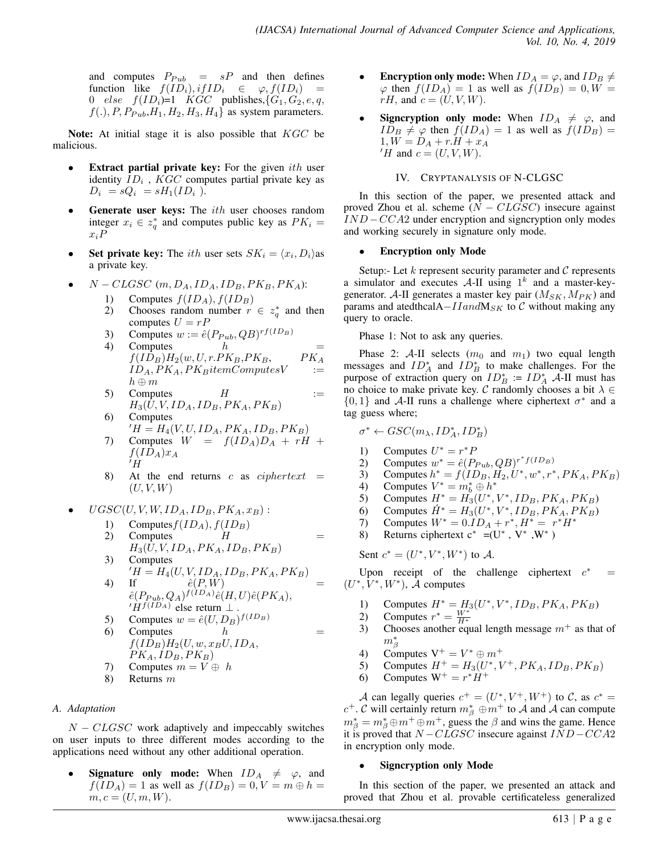and computes  $P_{Pub}$  =  $sP$  and then defines function like  $f(ID_i), if ID_i \in \varphi, f(ID_i) =$ 0 else  $f(ID_i)=1$   $KGC$  publishes,  $\{G_1, G_2, e, q,$  $f(.), P, P_{Pub}, H_1, H_2, H_3, H_4$  as system parameters.

**Note:** At initial stage it is also possible that  $KGC$  be malicious.

- **Extract partial private key:** For the given *ith* user identity  $ID_i$ ,  $KGC$  computes partial private key as  $D_i = sQ_i = sH_1(ID_i ).$
- **Generate user keys:** The  $ith$  user chooses random integer  $x_i \in z_q^*$  and computes public key as  $PK_i =$  $x_iP$
- Set private key: The *ith* user sets  $SK_i = \langle x_i, D_i \rangle$  as a private key.
	- $N CLGSC$  (m,  $D_A$ ,  $ID_A$ ,  $ID_B$ ,  $PK_B$ ,  $PK_A$ ):
		- 1) Computes  $f(ID_A), f(ID_B)$
		- 2) Chooses random number  $r \in z_q^*$  and then computes  $U = rP$
		- 3) Computes  $w := \hat{e}(P_{Pub} , QB)^{rf(ID_B)}$
		- 4) Computes  $h =$  $f(ID_B)H_2(w, U, r.PK_B, PK_B, \qquad PK_A$  $ID_A, PK_A, PK_B itemComputesV :=$  $h \oplus m$

5) Computers 
$$
H
$$
 :=  
\n $H_3(U, V, ID_A, ID_B, PK_A, PK_B)$ 

- 6) Computes  $H = H_4(V, U, ID_A, PK_A, ID_B, PK_B)$
- 7) Computes  $W = f(ID_A)D_A + rH +$  $f(ID_A)x_A$  $^{\prime}$  H
- 8) At the end returns c as  $ciphertext =$  $(U, V, W)$
- $UGSC(U, V, W, ID<sub>A</sub>, ID<sub>B</sub>, PK<sub>A</sub>, x<sub>B</sub>)$ :
	- 1) Computes  $f(ID_A), f(ID_B)$
	- 2) Computes  $H =$  $H_3(U, V, ID_A, PK_A, ID_B, PK_B)$
	- 3) Computes  $H = H_4(U, V, ID_A, ID_B, PK_A, PK_B)$ 4) If  $\hat{e}(P, W)$  =
	- $\hat{e}(P_{Pub} ,Q_{A})^{f(ID_{A})}\hat{e}(H,U)\hat{e}(PK_{A}),$  $H^{f(ID_A)}$  else return  $\perp$ .
	- 5) Computes  $w = \hat{e}(U, D_B)^{f(ID_B)}$ 6) Computes  $h$  $f(ID_B)H_2(U, w, x_B U, ID_A,$  $PK_A$ ,  $ID_B$ ,  $PK_B$ )
	- 7) Computes  $m = V \oplus h$
	- 8) Returns m

## *A. Adaptation*

 $N - CLGSC$  work adaptively and impeccably switches on user inputs to three different modes according to the applications need without any other additional operation.

**Signature only mode:** When  $ID_A \neq \varphi$ , and  $f(ID_A) = 1$  as well as  $f(ID_B) = 0, V = m \oplus h =$  $m, c = (U, m, W).$ 

- **Encryption only mode:** When  $ID_A = \varphi$ , and  $ID_B \neq$  $\varphi$  then  $f(ID_A) = 1$  as well as  $f(ID_B) = 0, W =$  $rH$ , and  $c = (U, V, W)$ .
- **Signcryption only mode:** When  $ID_A \neq \varphi$ , and  $ID_B \neq \varphi$  then  $f(ID_A) = 1$  as well as  $f(ID_B) =$  $1, W = D_A + r.H + x_A$  $'H$  and  $c = (U, V, W)$ .

## IV. CRYPTANALYSIS OF N-CLGSC

In this section of the paper, we presented attack and proved Zhou et al. scheme  $(N - CLGSC)$  insecure against  $IND-CCA2$  under encryption and signcryption only modes and working securely in signature only mode.

#### • Encryption only Mode

Setup:- Let  $k$  represent security parameter and  $C$  represents a simulator and executes  $A$ -II using  $1^k$  and a master-keygenerator. A-II generates a master key pair  $(M_{SK}, M_{PK})$  and params and atedthcalA $-II and M_{SK}$  to  $C$  without making any query to oracle.

Phase 1: Not to ask any queries.

Phase 2: A-II selects  $(m_0 \text{ and } m_1)$  two equal length messages and  $ID_A^*$  and  $ID_B^*$  to make challenges. For the purpose of extraction query on  $ID_B^* := ID_A^*$  A-II must has no choice to make private key.  $\mathcal C$  randomly chooses a bit  $\lambda \in$  $\{0, 1\}$  and A-II runs a challenge where ciphertext  $\sigma^*$  and a tag guess where;

$$
\sigma^* \leftarrow GSC(m_{\lambda}, ID_A^*, ID_B^*)
$$

- 1) Computes  $U^* = r^*P$
- 2) Computes  $w^* = \hat{e}(P_{Pub} , QB)^{r^*f(ID_B)}$
- 3) Computes  $h^* = f(ID_B, H_2, U^*, w^*, r^*, PK_A, PK_B)$
- 4) Computes  $V^* = m_b^* \oplus h^*$
- 5) Computes  $H^* = H_3^*(U^*, V^*, ID_B, PK_A, PK_B)$
- 6) Computes  $\hat{H}^* = H_3(U^*, V^*, ID_B, PK_A, PK_B)$
- 7) Computes  $W^* = 0 \cdot ID_A + r^*$ ,  $H^* = r^*H^*$
- 8) Returns ciphertext  $c^* = (U^*, V^*, W^*)$

Sent  $c^* = (U^*, V^*, W^*)$  to A.

Upon receipt of the challenge ciphertext  $c^*$  $=$  $(U^*, V^*, W^*)$ ,  $\overline{\mathcal{A}}$  computes

- 1) Computes  $H^* = H_3(U^*, V^*, ID_B, PK_A, PK_B)$
- 2) Computes  $r^* = \frac{W^*}{H^*}$
- 3) Chooses another equal length message  $m<sup>+</sup>$  as that of  $m^*_\beta$
- 4) Computes  $V^+ = V^* \oplus m^+$
- 5) Computes  $H^+ = H_3(U^*, V^+, P K_A, ID_B, PK_B)$
- 6) Computes  $W^+ = r^* \dot{H}^+$

A can legally queries  $c^+ = (U^*, V^+, W^+)$  to C, as  $c^* =$  $c^+$ . C will certainly return  $m^*_{\beta} \oplus m^+$  to A and A can compute  $m^*_{\beta} = m^*_{\beta} \oplus m^+ \oplus m^+$ , guess the  $\beta$  and wins the game. Hence it is proved that  $N - CLGSC$  insecure against  $IND-CCA2$ in encryption only mode.

#### Signcryption only Mode

In this section of the paper, we presented an attack and proved that Zhou et al. provable certificateless generalized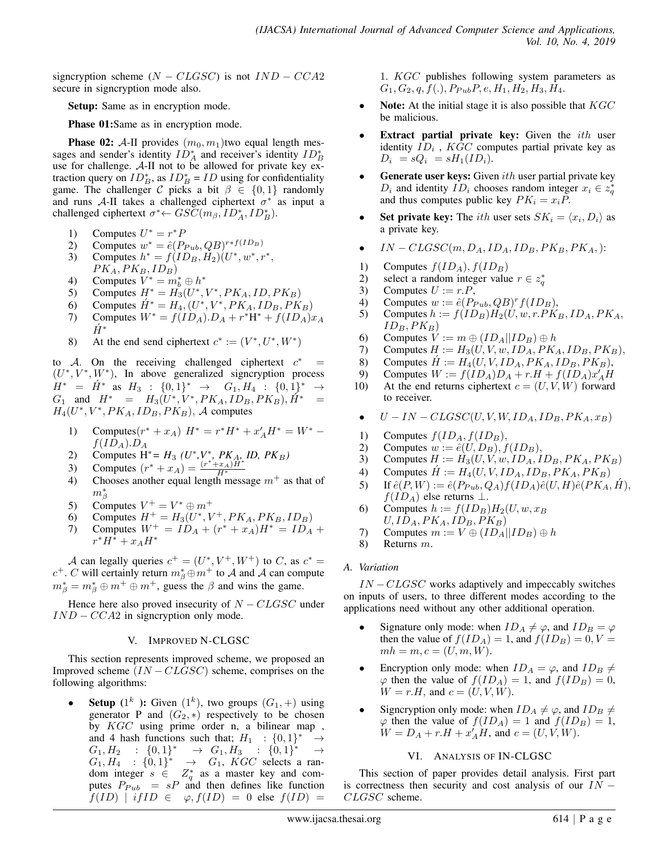signcryption scheme  $(N - CLGSC)$  is not  $IND - CCA2$ secure in signcryption mode also.

Setup: Same as in encryption mode.

Phase 01:Same as in encryption mode.

**Phase 02:** A-II provides  $(m_0, m_1)$ two equal length messages and sender's identity  $ID_A^*$  and receiver's identity  $ID_B^*$ use for challenge.  $A$ -II not to be allowed for private key extraction query on  $ID_B^*$ , as  $ID_B^* = ID$  using for confidentiality game. The challenger C picks a bit  $\beta \in \{0,1\}$  randomly and runs A-II takes a challenged ciphertext  $\sigma^*$  as input a challenged ciphertext  $\sigma^* \leftarrow GSC(m_\beta, ID_A^*, ID_B^*).$ 

- 1) Computes  $U^* = r^*P$
- 2) Computes  $w^* = \hat{e}(P_{Pub} , QB)^{r*f(ID_B)}$
- 3) Computes  $h^* = f(ID_B, H_2)(U^*, w^*, r^*,$  $PK_A, PK_B, ID_B)$
- 4) Computes  $V^* = m_b^* \oplus h^*$
- 5) Computes  $H^* = H_3^{\prime}(U^*, V^*, PK_A, ID, PK_B)$
- 6) Computes  $\hat{H}^* = H_4, (U^*, V^*, P K_A, ID_B, PK_B)$
- 7) Computes  $W^* = f(ID_A).D_A + r^*H^* + f(ID_A)x_A$  $H^*$
- 8) At the end send ciphertext  $c^* := (V^*, U^*, W^*)$

to A. On the receiving challenged ciphertext  $c^*$  =  $(U^*, V^*, W^*)$ , In above generalized signcryption process  $H^* = \hat{H}^*$  as  $H_3 : \{0,1\}^* \rightarrow G_1, H_4 : \{0,1\}^* \rightarrow$  $G_1$  and  $H^* = H_3(U^*, V^*, PK_A, ID_B, PK_B), \hat{H}^* =$  $H_4(U^*, V^*, PK_A, ID_B, PK_B), \mathcal{A}$  computes

- 1) Computes $(r^* + x_A)$   $H^* = r^*H^* + x'_A H^* = W^*$  $f(ID_A).D_A$
- 2) Computes H<sup>\*</sup>=  $H_3$  (*U*<sup>\*</sup>, *V*<sup>\*</sup>, *PK*<sub>A</sub>, *ID*, *PK*<sub>B</sub>)
- 3) Computes  $(r^* + x_A) = \frac{(r^* + x_A)\hat{H}^*}{H^*}$
- 4) Chooses another equal length message  $m<sup>+</sup>$  as that of  $m^*_\beta$
- 5) Computes  $V^+ = V^* \oplus m^+$
- 6) Computes  $H^+ = H_3(U^*, V^+, P K_A, P K_B, I D_B)$
- 7) Computes  $W^+ = ID_A + (r^* + x_A)H^* = ID_A +$  $r^*H^* + x_AH^*$

A can legally queries  $c^+ = (U^*, V^+, W^+)$  to C, as  $c^* =$  $c^+$ . C will certainly return  $m^*_{\beta} \oplus m^+$  to  $\mathcal A$  and  $\mathcal A$  can compute  $m^*_{\beta} = m^*_{\beta} \oplus m^+ \oplus m^+$ , guess the  $\beta$  and wins the game.

Hence here also proved insecurity of  $N - CLGSC$  under  $IND - CCA2$  in signcryption only mode.

## V. IMPROVED N-CLGSC

This section represents improved scheme, we proposed an Improved scheme  $(IN - CLGSC)$  scheme, comprises on the following algorithms:

• Setup  $(1^k)$ : Given  $(1^k)$ , two groups  $(G_1, +)$  using generator P and  $(G_2, *)$  respectively to be chosen by KGC using prime order n, a bilinear map , and 4 hash functions such that;  $H_1$  :  $\{0,1\}^*$  →  $G_1, H_2 : \{0,1\}^* \rightarrow G_1, H_3 : \{0,1\}^* \rightarrow$  $G_1, H_4 : \{0,1\}^* \rightarrow G_1$ , KGC selects a random integer  $s \in Z_q^*$  as a master key and computes  $P_{Pub}$  =  $sP$  and then defines like function  $f(ID)$  | if  $ID \in \varphi, f(ID) = 0$  else  $f(ID) =$ 

1. KGC publishes following system parameters as  $G_1, G_2, q, f(.)$ ,  $P_{Pub}P, e, H_1, H_2, H_3, H_4.$ 

- **Note:** At the initial stage it is also possible that  $KGC$ be malicious.
- **Extract partial private key:** Given the  $ith$  user identity  $ID_i$ ,  $KGC$  computes partial private key as  $D_i = sQ_i = sH_1(ID_i).$
- **Generate user keys:** Given  $ith$  user partial private key  $D_i$  and identity  $ID_i$  chooses random integer  $x_i \in z_q^*$ and thus computes public key  $PK_i = x_iP$ .
- Set private key: The *ith* user sets  $SK_i = \langle x_i, D_i \rangle$  as a private key.
- $IN-CLGSC(m, D_A, ID_A, ID_B, PK_B, PK_A,):$
- 1) Computes  $f(ID_A), f(ID_B)$ <br>2) select a random integer value
- 2) select a random integer value  $r \in z_q^*$
- 3) Computes  $U := r.P$ ,
- 4) Computes  $w := \hat{e}(P_{Pub} , QB)^r f(ID_B),$
- 5) Computes  $h := f(ID_B)H_2(U, w, r.PK_B, ID_A, PK_A,$  $ID_B, PK_B)$
- 6) Computes  $V := m \oplus (ID_A||ID_B) \oplus h$
- 7) Computes  $H := H_3(U, V, w, ID_A, PK_A, ID_B, PK_B),$
- 8) Computes  $\hat{H} := H_4(U, V, ID_A, PK_A, ID_B, PK_B),$ <br>9) Computes  $W := f(ID_A)D_A + r.H + f(ID_A)x'_AH$
- 9) Computes  $W := f(\overline{I}D_A)D_A + r \cdot H + f(\overline{I}D_A)x'_A\overline{H}$
- 10) At the end returns ciphertext  $c = (U, V, W)$  forward to receiver.
- $\bullet$   $U IN CLGSC(U, V, W, ID<sub>A</sub>, ID<sub>B</sub>, PK<sub>A</sub>, x<sub>B</sub>)$
- 
- 1) Computes  $f(ID_A, f(ID_B),$ <br>2) Computes  $w := \hat{e}(U, D_B), f$
- 2) Computes  $w := \hat{e}(U, D_B)$ ,  $f(ID_B)$ ,<br>3) Computes  $H := H_3(U, V, w, ID_A, I)$ Computes  $H := H_3(U, V, w, ID_A, ID_B, PK_A, PK_B)$
- 4) Computes  $H := H_4(U, V, ID_A, ID_B, PK_A, PK_B)$
- 5) If  $\hat{e}(P, W) := \hat{e}(P_{Pub}, Q_A) f(ID_A) \hat{e}(U, H) \hat{e}(PK_A, H),$  $f(ID_A)$  else returns  $\perp$ .
- 6) Computes  $h := f(ID_B)H_2(U, w, x_B)$  $U$ ,  $ID_A$ ,  $PK_A$ ,  $ID_B$ ,  $PK_B$ )
- 7) Computes  $m := V \oplus (ID_A||ID_B) \oplus h$ <br>8) Returns m.
- Returns m.

## *A. Variation*

 $IN - CLGSC$  works adaptively and impeccably switches on inputs of users, to three different modes according to the applications need without any other additional operation.

- Signature only mode: when  $ID_A \neq \varphi$ , and  $ID_B = \varphi$ then the value of  $f(ID_A) = 1$ , and  $f(ID_B) = 0, V = 0$  $mh = m, c = (U, m, W).$
- Encryption only mode: when  $ID_A = \varphi$ , and  $ID_B \neq$  $\varphi$  then the value of  $f(ID_A) = 1$ , and  $f(ID_B) = 0$ ,  $W = r.H$ , and  $c = (U, V, W)$ .
- Signcryption only mode: when  $ID_A \neq \varphi$ , and  $ID_B \neq$  $\varphi$  then the value of  $f(ID_A) = 1$  and  $f(ID_B) = 1$ ,  $W = D_A + r.H + x'_A H$ , and  $c = (U, V, W)$ .

## VI. ANALYSIS OF IN-CLGSC

This section of paper provides detail analysis. First part is correctness then security and cost analysis of our  $IN -$ CLGSC scheme.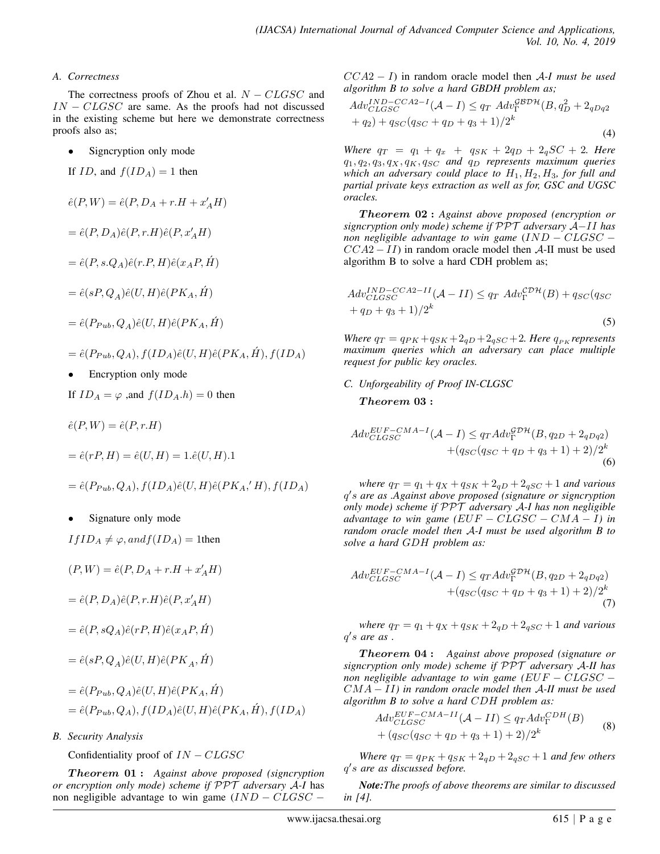#### *A. Correctness*

The correctness proofs of Zhou et al.  $N - CLGSC$  and  $IN - CLGSC$  are same. As the proofs had not discussed in the existing scheme but here we demonstrate correctness proofs also as;

Signcryption only mode

If 
$$
ID
$$
, and  $f(ID_A) = 1$  then

$$
\hat{e}(P,W)=\hat{e}(P,D_A+r.H+x'_AH)
$$

$$
=\hat e(P,D_A)\hat e(P,r.H)\hat e(P,x'_AH)
$$

$$
= \hat{e}(P, s.Q_A)\hat{e}(r.P, H)\hat{e}(x_A P, H)
$$

$$
=\hat{e}(sP,Q_{A})\hat{e}(U,H)\hat{e}(PK_{A},\acute{H})
$$

$$
=\hat{e}(P_{Pub} ,Q_{A})\hat{e}(U,H)\hat{e}(PK_{A} ,\acute{H})
$$

- $=\hat{e}(P_{Pub} ,Q_A), f(ID_A)\hat{e}(U,H)\hat{e}(PK_A ,\hat{H}), f(ID_A)$
- Encryption only mode

If 
$$
ID_A = \varphi
$$
, and  $f(ID_A.h) = 0$  then

$$
\hat{e}(P,W) = \hat{e}(P,r.H)
$$

$$
= \hat{e}(rP, H) = \hat{e}(U, H) = 1.\hat{e}(U, H).1
$$

$$
= \hat{e}(P_{Pub} , Q_A), f(ID_A) \hat{e}(U, H) \hat{e}(PK_A, 'H), f(ID_A)
$$

Signature only mode

 $If ID_A \neq \varphi, and f(ID_A) = 1$ then

$$
(P, W) = \hat{e}(P, D_A + r.H + x'_A H)
$$

$$
=\hat e(P,D_A)\hat e(P,r.H)\hat e(P,x'_AH)
$$

$$
= \hat{e}(P, sQ_A)\hat{e}(rP, H)\hat{e}(x_A P, H)
$$

$$
=\hat{e}(sP,Q_{A})\hat{e}(U,H)\hat{e}(PK_{A},\acute{H})
$$

$$
= \hat{e}(P_{Pub} , Q_A)\hat{e}(U, H)\hat{e}(PK_A, \hat{H})
$$
  
=  $\hat{e}(P_{Pub} , Q_A), f(ID_A)\hat{e}(U, H)\hat{e}(PK_A, \hat{H}), f(ID_A)$ 

*B. Security Analysis*

Confidentiality proof of  $IN - CLGSC$ 

T heorem 01 : *Against above proposed (signcryption or encryption only mode) scheme if* PPT *adversary* A*-I* has non negligible advantage to win game  $(IND - CLGSC -$ 

CCA2 − I) in random oracle model then A*-I must be used algorithm B to solve a hard GBDH problem as;*

$$
Adv_{CLGSC}^{IND-CCA2-I}(\mathcal{A} - I) \leq q_T \; Adv_{\Gamma}^{\mathcal{GBDH}}(B, q_D^2 + 2q_{Dq2} + q_2) + q_{SC}(q_{SC} + q_D + q_3 + 1)/2^k
$$
\n(4)

*Where*  $q_T = q_1 + q_x + q_{SK} + 2q_D + 2_q SC + 2$ *. Here*  $q_1, q_2, q_3, q_X, q_K, q_{SC}$  *and*  $q_D$  *represents maximum queries which an adversary could place to*  $H_1, H_2, H_3$ *, for full and partial private keys extraction as well as for, GSC and UGSC oracles.*

T heorem 02 : *Against above proposed (encryption or signcryption only mode) scheme if* PPT *adversary* A−II *has non negligible advantage to win game* (IND – CLGSC –  $CCA2 - II$ ) in random oracle model then A-II must be used algorithm B to solve a hard CDH problem as;

$$
Adv_{CLGSC}^{IND-CCA2-II}(\mathcal{A} - II) \leq q_T \; Adv_{\Gamma}^{\mathcal{D}H}(B) + q_{SC}(q_{SC} + q_D + q_3 + 1)/2^k
$$
\n
$$
(5)
$$

*Where*  $q_T = q_{PK} + q_{SK} + 2_{qD} + 2_{qSC} + 2$ *. Here*  $q_{PK}$  *represents maximum queries which an adversary can place multiple request for public key oracles.*

#### *C. Unforgeability of Proof IN-CLGSC*

## Theorem 03:

$$
Adv_{CLGSC}^{EUF-CMA-I}(\mathcal{A} - I) \leq q_T Adv_{\Gamma}^{\mathcal{GDH}}(B, q_{2D} + 2_{qDq2}) + (q_{SC}(q_{SC} + q_D + q_3 + 1) + 2)/2^k
$$
\n(6)

*where*  $q_T = q_1 + q_X + q_{SK} + 2_{qD} + 2_{qSC} + 1$  *and various* q 0 s *are as .Against above proposed (signature or signcryption only mode) scheme if* PPT *adversary* A*-I has non negligible advantage to win game*  $(EUF - CLGSC - CMA - I)$  *in random oracle model then* A*-I must be used algorithm B to solve a hard* GDH *problem as:*

$$
Adv_{CLGSC}^{EUF-CMA-I}(\mathcal{A} - I) \leq q_T Adv_{\Gamma}^{\mathcal{G}D\mathcal{H}}(B, q_{2D} + 2_{qDq2}) + (q_{SC}(q_{SC} + q_D + q_3 + 1) + 2)/2^k
$$
\n(7)

*where*  $q_T = q_1 + q_X + q_{SK} + 2_{qD} + 2_{qSC} + 1$  *and various*  $q's$  are as.

T heorem 04 : *Against above proposed (signature or signcryption only mode) scheme if* PPT *adversary* A*-II has non negligible advantage to win game (*EUF − CLGSC − CMA − II*) in random oracle model then* A*-II must be used algorithm B to solve a hard* CDH *problem as:*

$$
Adv_{CLGSC}^{EUF-CMA-II}(\mathcal{A} - II) \leq q_T Adv_{\Gamma}^{CDH}(B)
$$
  
+ 
$$
(q_{SC}(q_{SC} + q_D + q_3 + 1) + 2)/2^k
$$
 (8)

*Where*  $q_T = q_{PK} + q_{SK} + 2_{qD} + 2_{qSC} + 1$  *and few others* q 0 s *are as discussed before.*

*Note:The proofs of above theorems are similar to discussed in [4].*